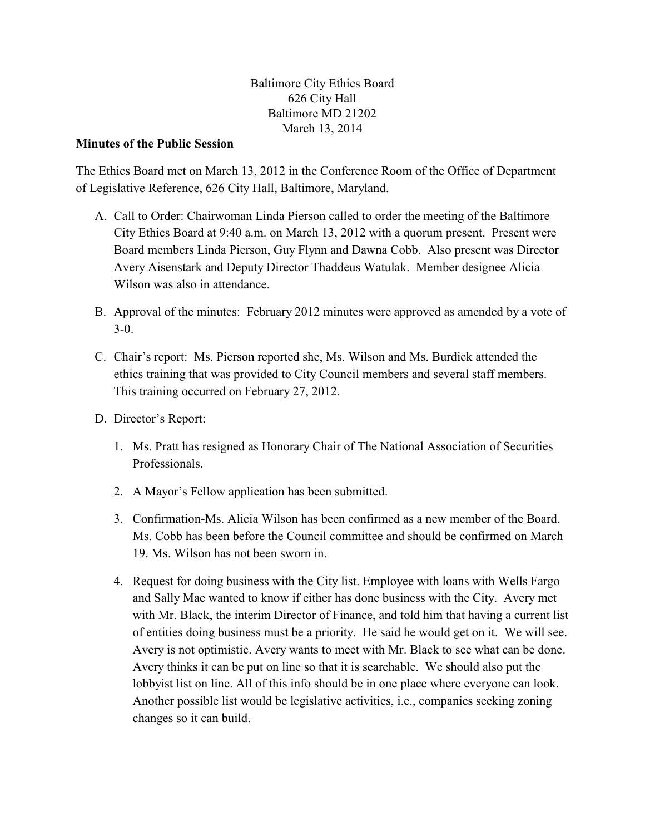Baltimore City Ethics Board 626 City Hall Baltimore MD 21202 March 13, 2014

## **Minutes of the Public Session**

The Ethics Board met on March 13, 2012 in the Conference Room of the Office of Department of Legislative Reference, 626 City Hall, Baltimore, Maryland.

- A. Call to Order: Chairwoman Linda Pierson called to order the meeting of the Baltimore City Ethics Board at 9:40 a.m. on March 13, 2012 with a quorum present. Present were Board members Linda Pierson, Guy Flynn and Dawna Cobb. Also present was Director Avery Aisenstark and Deputy Director Thaddeus Watulak. Member designee Alicia Wilson was also in attendance.
- B. Approval of the minutes: February 2012 minutes were approved as amended by a vote of 3-0.
- C. Chair's report: Ms. Pierson reported she, Ms. Wilson and Ms. Burdick attended the ethics training that was provided to City Council members and several staff members. This training occurred on February 27, 2012.
- D. Director's Report:
	- 1. Ms. Pratt has resigned as Honorary Chair of The National Association of Securities Professionals.
	- 2. A Mayor's Fellow application has been submitted.
	- 3. Confirmation-Ms. Alicia Wilson has been confirmed as a new member of the Board. Ms. Cobb has been before the Council committee and should be confirmed on March 19. Ms. Wilson has not been sworn in.
	- 4. Request for doing business with the City list. Employee with loans with Wells Fargo and Sally Mae wanted to know if either has done business with the City. Avery met with Mr. Black, the interim Director of Finance, and told him that having a current list of entities doing business must be a priority. He said he would get on it. We will see. Avery is not optimistic. Avery wants to meet with Mr. Black to see what can be done. Avery thinks it can be put on line so that it is searchable. We should also put the lobbyist list on line. All of this info should be in one place where everyone can look. Another possible list would be legislative activities, i.e., companies seeking zoning changes so it can build.